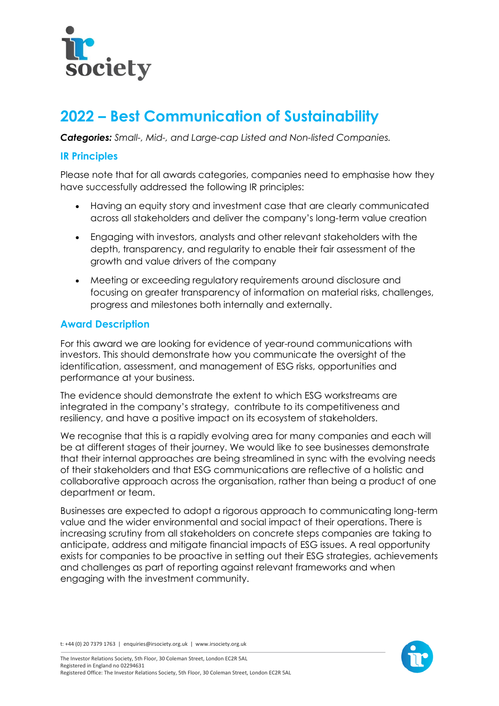

# **2022 – Best Communication of Sustainability**

*Categories: Small-, Mid-, and Large-cap Listed and Non-listed Companies.*

### **IR Principles**

Please note that for all awards categories, companies need to emphasise how they have successfully addressed the following IR principles:

- Having an equity story and investment case that are clearly communicated across all stakeholders and deliver the company's long-term value creation
- Engaging with investors, analysts and other relevant stakeholders with the depth, transparency, and regularity to enable their fair assessment of the growth and value drivers of the company
- Meeting or exceeding regulatory requirements around disclosure and focusing on greater transparency of information on material risks, challenges, progress and milestones both internally and externally.

## **Award Description**

For this award we are looking for evidence of year-round communications with investors. This should demonstrate how you communicate the oversight of the identification, assessment, and management of ESG risks, opportunities and performance at your business.

The evidence should demonstrate the extent to which ESG workstreams are integrated in the company's strategy, contribute to its competitiveness and resiliency, and have a positive impact on its ecosystem of stakeholders.

We recognise that this is a rapidly evolving area for many companies and each will be at different stages of their journey. We would like to see businesses demonstrate that their internal approaches are being streamlined in sync with the evolving needs of their stakeholders and that ESG communications are reflective of a holistic and collaborative approach across the organisation, rather than being a product of one department or team.

Businesses are expected to adopt a rigorous approach to communicating long-term value and the wider environmental and social impact of their operations. There is increasing scrutiny from all stakeholders on concrete steps companies are taking to anticipate, address and mitigate financial impacts of ESG issues. A real opportunity exists for companies to be proactive in setting out their ESG strategies, achievements and challenges as part of reporting against relevant frameworks and when engaging with the investment community.

t: +44 (0) 20 7379 1763 | enquiries@irsociety.org.uk | www.irsociety.org.uk

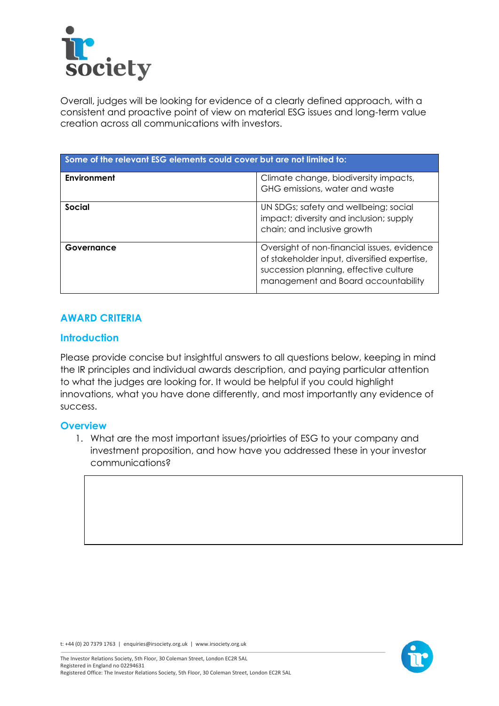

Overall, judges will be looking for evidence of a clearly defined approach, with a consistent and proactive point of view on material ESG issues and long-term value creation across all communications with investors.

| Some of the relevant ESG elements could cover but are not limited to: |                                                                                                                                                                              |
|-----------------------------------------------------------------------|------------------------------------------------------------------------------------------------------------------------------------------------------------------------------|
| Environment                                                           | Climate change, biodiversity impacts,<br>GHG emissions, water and waste                                                                                                      |
| Social                                                                | UN SDGs; safety and wellbeing; social<br>impact; diversity and inclusion; supply<br>chain; and inclusive growth                                                              |
| Governance                                                            | Oversight of non-financial issues, evidence<br>of stakeholder input, diversified expertise,<br>succession planning, effective culture<br>management and Board accountability |

#### **AWARD CRITERIA**

#### **Introduction**

Please provide concise but insightful answers to all questions below, keeping in mind the IR principles and individual awards description, and paying particular attention to what the judges are looking for. It would be helpful if you could highlight innovations, what you have done differently, and most importantly any evidence of success.

#### **Overview**

1. What are the most important issues/prioirties of ESG to your company and investment proposition, and how have you addressed these in your investor communications?





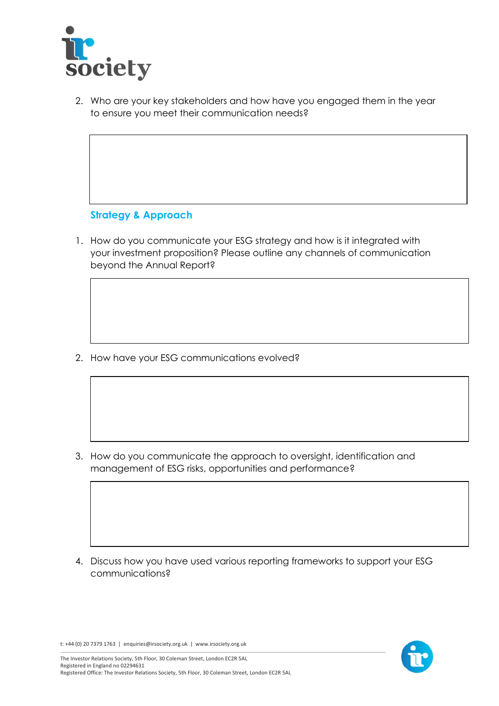

2. Who are your key stakeholders and how have you engaged them in the year to ensure you meet their communication needs?

## **Strategy & Approach**

1. How do you communicate your ESG strategy and how is it integrated with your investment proposition? Please outline any channels of communication beyond the Annual Report?

2. How have your ESG communications evolved?

3. How do you communicate the approach to oversight, identification and management of ESG risks, opportunities and performance?

4. Discuss how you have used various reporting frameworks to support your ESG communications?



t: +44 (0) 20 7379 1763 | enquiries@irsociety.org.uk | www.irsociety.org.uk